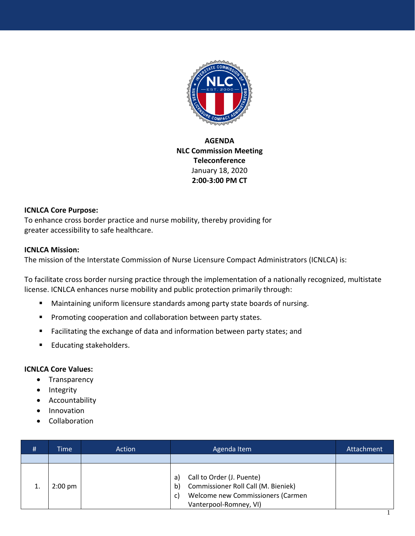

## **AGENDA NLC Commission Meeting Teleconference**  January 18, 2020 **2:00-3:00 PM CT**

## **ICNLCA Core Purpose:**

To enhance cross border practice and nurse mobility, thereby providing for greater accessibility to safe healthcare.

## **ICNLCA Mission:**

The mission of the Interstate Commission of Nurse Licensure Compact Administrators (ICNLCA) is:

To facilitate cross border nursing practice through the implementation of a nationally recognized, multistate license. ICNLCA enhances nurse mobility and public protection primarily through:

- Maintaining uniform licensure standards among party state boards of nursing.
- Promoting cooperation and collaboration between party states.
- Facilitating the exchange of data and information between party states; and
- Educating stakeholders.

## **ICNLCA Core Values:**

- Transparency
- Integrity
- Accountability
- Innovation
- Collaboration

| Call to Order (J. Puente)<br>a)<br>Commissioner Roll Call (M. Bieniek)<br>b)<br>$2:00 \text{ pm}$<br>Welcome new Commissioners (Carmen<br>C) | # | Time | Action | Agenda Item | Attachment |
|----------------------------------------------------------------------------------------------------------------------------------------------|---|------|--------|-------------|------------|
|                                                                                                                                              |   |      |        |             |            |
| Vanterpool-Romney, VI)                                                                                                                       |   |      |        |             |            |